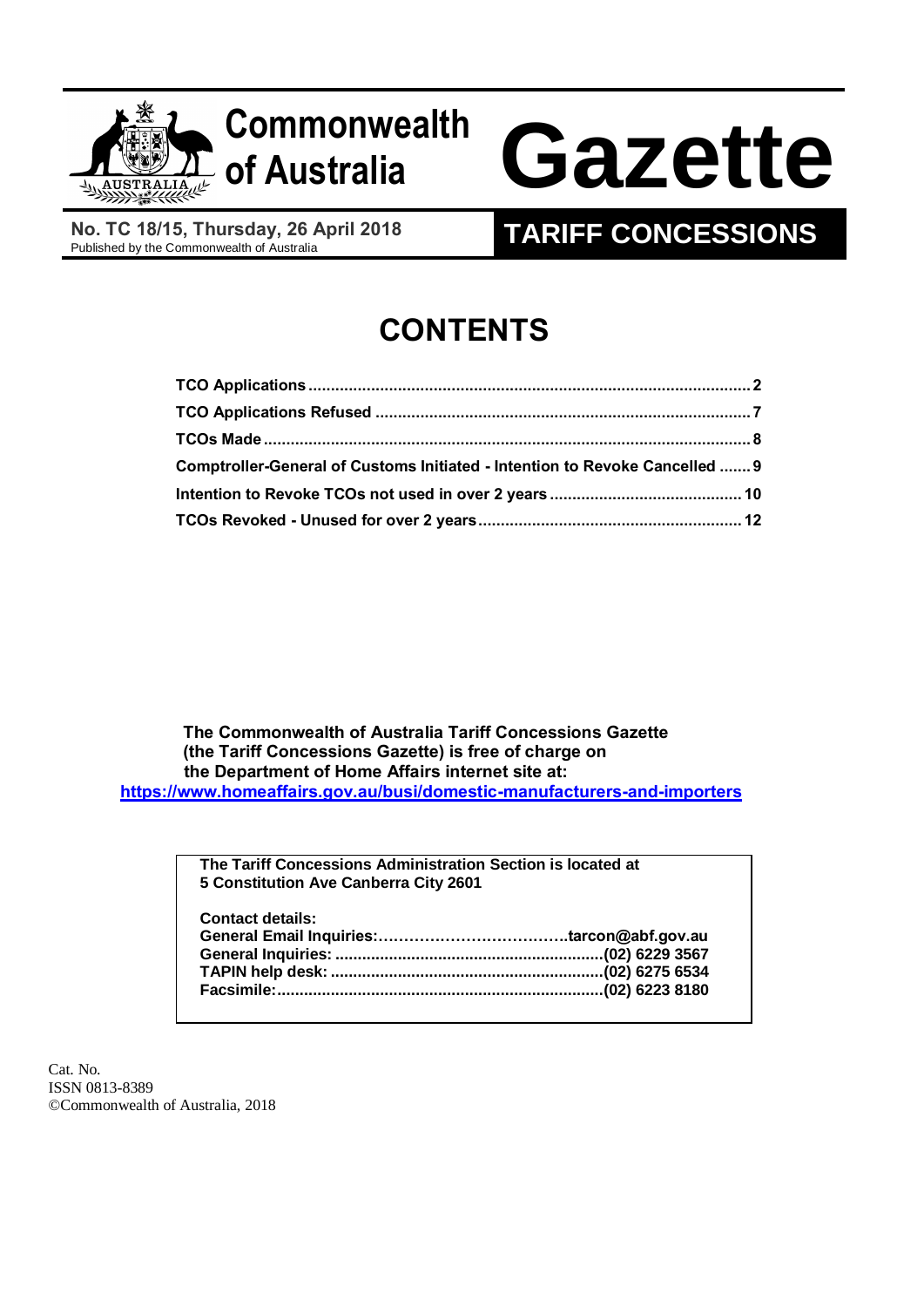

## **Commonwealth**

# **of Australia Gazette**

**No. TC 18/15, Thursday, 26 April 2018**

### **TARIFF CONCESSIONS**

### **CONTENTS**

| Comptroller-General of Customs Initiated - Intention to Revoke Cancelled  9 |  |
|-----------------------------------------------------------------------------|--|
|                                                                             |  |
|                                                                             |  |

 **The Commonwealth of Australia Tariff Concessions Gazette (the Tariff Concessions Gazette) is free of charge on the Department of Home Affairs internet site at: <https://www.homeaffairs.gov.au/busi/domestic-manufacturers-and-importers>**

> **The Tariff Concessions Administration Section is located at 5 Constitution Ave Canberra City 2601**

| <b>Contact details:</b> |  |
|-------------------------|--|
|                         |  |
|                         |  |
|                         |  |
|                         |  |
|                         |  |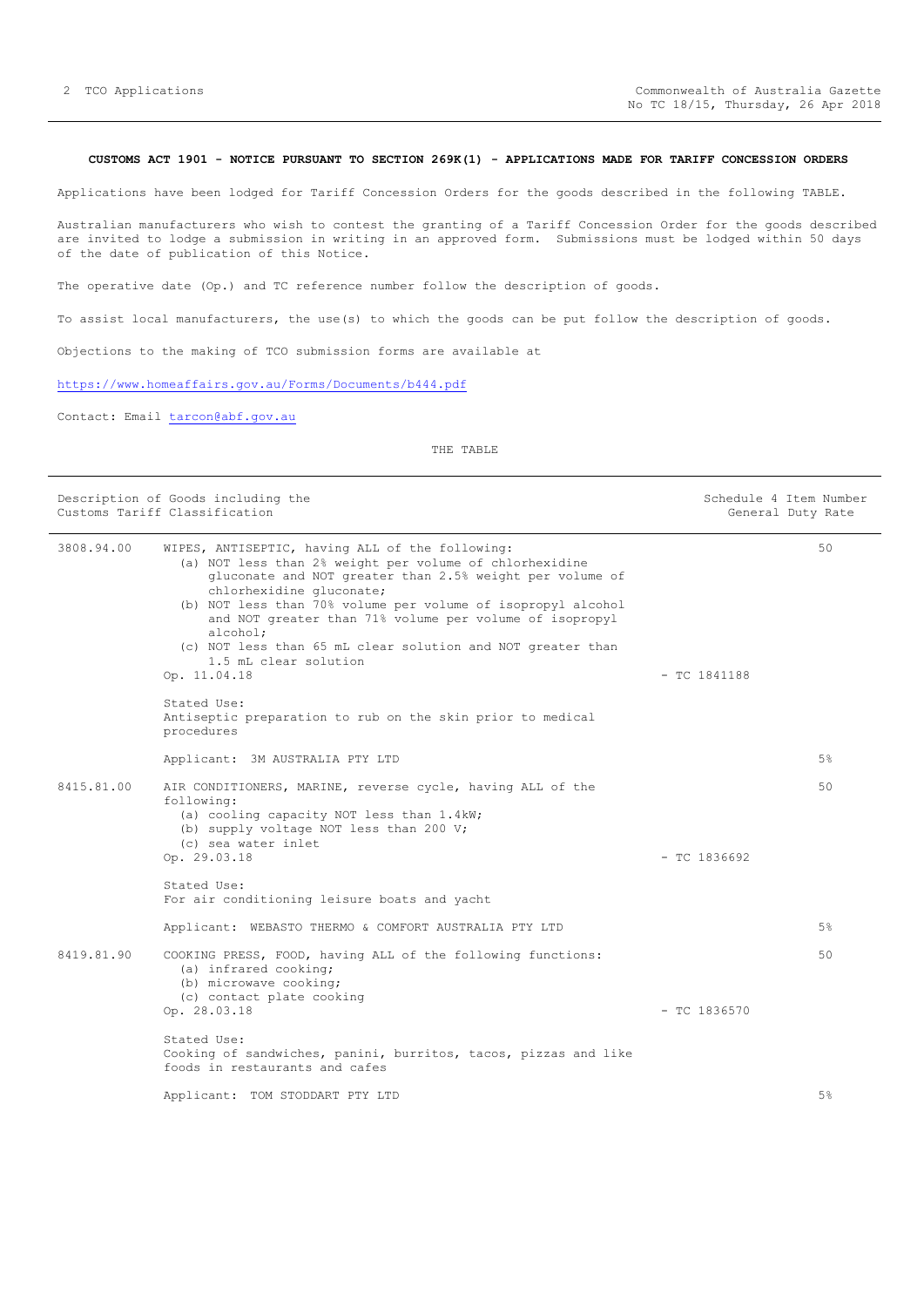#### <span id="page-1-0"></span>**CUSTOMS ACT 1901 - NOTICE PURSUANT TO SECTION 269K(1) - APPLICATIONS MADE FOR TARIFF CONCESSION ORDERS**

Applications have been lodged for Tariff Concession Orders for the goods described in the following TABLE.

Australian manufacturers who wish to contest the granting of a Tariff Concession Order for the goods described are invited to lodge a submission in writing in an approved form. Submissions must be lodged within 50 days of the date of publication of this Notice.

The operative date (Op.) and TC reference number follow the description of goods.

To assist local manufacturers, the use(s) to which the goods can be put follow the description of goods.

Objections to the making of TCO submission forms are available at

<https://www.homeaffairs.gov.au/Forms/Documents/b444.pdf>

Contact: Email [tarcon@abf.gov.au](mailto:tarcon@abf.gov.au)

THE TABLE

|            | Description of Goods including the<br>Customs Tariff Classification                                                                                                                                                                                                                                                                                                                                                                               |                | Schedule 4 Item Number<br>General Duty Rate |
|------------|---------------------------------------------------------------------------------------------------------------------------------------------------------------------------------------------------------------------------------------------------------------------------------------------------------------------------------------------------------------------------------------------------------------------------------------------------|----------------|---------------------------------------------|
| 3808.94.00 | WIPES, ANTISEPTIC, having ALL of the following:<br>(a) NOT less than 2% weight per volume of chlorhexidine<br>gluconate and NOT greater than 2.5% weight per volume of<br>chlorhexidine gluconate;<br>(b) NOT less than 70% volume per volume of isopropyl alcohol<br>and NOT greater than 71% volume per volume of isopropyl<br>alcohol;<br>(c) NOT less than 65 mL clear solution and NOT greater than<br>1.5 mL clear solution<br>Op. 11.04.18 | $-$ TC 1841188 | 50                                          |
|            | Stated Use:<br>Antiseptic preparation to rub on the skin prior to medical<br>procedures                                                                                                                                                                                                                                                                                                                                                           |                |                                             |
|            | Applicant: 3M AUSTRALIA PTY LTD                                                                                                                                                                                                                                                                                                                                                                                                                   |                | 5%                                          |
| 8415.81.00 | AIR CONDITIONERS, MARINE, reverse cycle, having ALL of the<br>following:<br>(a) cooling capacity NOT less than 1.4kW;<br>(b) supply voltage NOT less than 200 V;<br>(c) sea water inlet<br>Op. 29.03.18                                                                                                                                                                                                                                           | $-$ TC 1836692 | 50                                          |
|            |                                                                                                                                                                                                                                                                                                                                                                                                                                                   |                |                                             |
|            | Stated Use:<br>For air conditioning leisure boats and yacht                                                                                                                                                                                                                                                                                                                                                                                       |                |                                             |
|            | Applicant: WEBASTO THERMO & COMFORT AUSTRALIA PTY LTD                                                                                                                                                                                                                                                                                                                                                                                             |                | 5%                                          |
| 8419.81.90 | COOKING PRESS, FOOD, having ALL of the following functions:<br>(a) infrared cooking;<br>(b) microwave cooking;<br>(c) contact plate cooking                                                                                                                                                                                                                                                                                                       |                | 50                                          |
|            | Op. 28.03.18                                                                                                                                                                                                                                                                                                                                                                                                                                      | $-$ TC 1836570 |                                             |
|            | Stated Use:<br>Cooking of sandwiches, panini, burritos, tacos, pizzas and like<br>foods in restaurants and cafes                                                                                                                                                                                                                                                                                                                                  |                |                                             |
|            | Applicant: TOM STODDART PTY LTD                                                                                                                                                                                                                                                                                                                                                                                                                   |                | 5%                                          |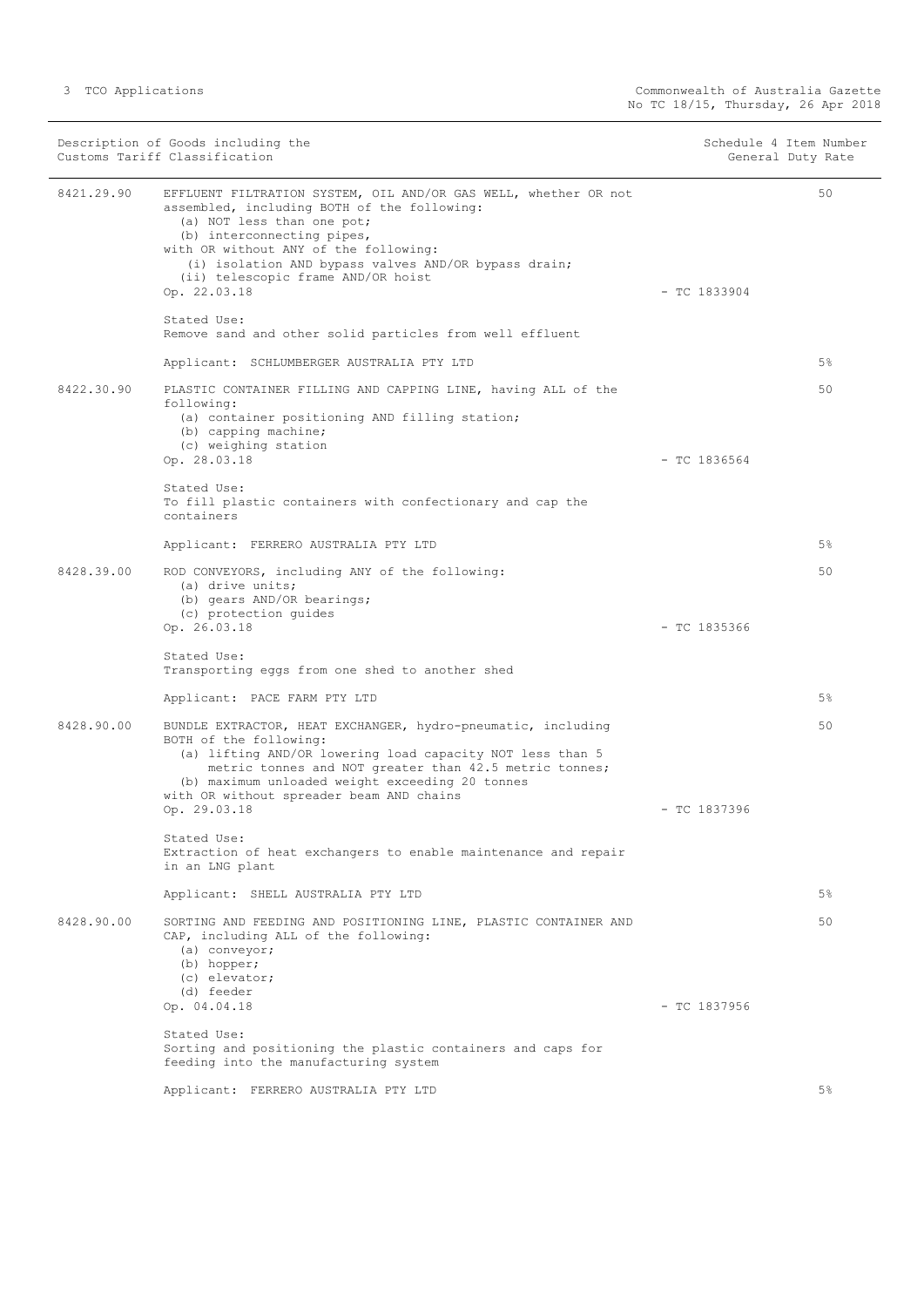| Description of Goods including the<br>Customs Tariff Classification |                                                                                                                                                                                                                                                                                                                                   | Schedule 4 Item Number<br>General Duty Rate |       |
|---------------------------------------------------------------------|-----------------------------------------------------------------------------------------------------------------------------------------------------------------------------------------------------------------------------------------------------------------------------------------------------------------------------------|---------------------------------------------|-------|
| 8421.29.90                                                          | EFFLUENT FILTRATION SYSTEM, OIL AND/OR GAS WELL, whether OR not<br>assembled, including BOTH of the following:<br>(a) NOT less than one pot;<br>(b) interconnecting pipes,<br>with OR without ANY of the following:<br>(i) isolation AND bypass valves AND/OR bypass drain;<br>(ii) telescopic frame AND/OR hoist<br>Op. 22.03.18 | $-TC$ 1833904                               | 50    |
|                                                                     | Stated Use:<br>Remove sand and other solid particles from well effluent                                                                                                                                                                                                                                                           |                                             |       |
|                                                                     | Applicant: SCHLUMBERGER AUSTRALIA PTY LTD                                                                                                                                                                                                                                                                                         |                                             | $5\%$ |
| 8422.30.90                                                          | PLASTIC CONTAINER FILLING AND CAPPING LINE, having ALL of the<br>following:<br>(a) container positioning AND filling station;<br>(b) capping machine;<br>(c) weighing station<br>Op. 28.03.18                                                                                                                                     | $-$ TC 1836564                              | 50    |
|                                                                     | Stated Use:<br>To fill plastic containers with confectionary and cap the<br>containers                                                                                                                                                                                                                                            |                                             |       |
|                                                                     | Applicant: FERRERO AUSTRALIA PTY LTD                                                                                                                                                                                                                                                                                              |                                             | 5%    |
| 8428.39.00                                                          | ROD CONVEYORS, including ANY of the following:<br>(a) drive units;<br>(b) gears AND/OR bearings;                                                                                                                                                                                                                                  |                                             | 50    |
|                                                                     | (c) protection quides<br>Op. 26.03.18                                                                                                                                                                                                                                                                                             | $-$ TC 1835366                              |       |
|                                                                     | Stated Use:<br>Transporting eggs from one shed to another shed                                                                                                                                                                                                                                                                    |                                             |       |
|                                                                     | Applicant: PACE FARM PTY LTD                                                                                                                                                                                                                                                                                                      |                                             | 5%    |
| 8428.90.00                                                          | BUNDLE EXTRACTOR, HEAT EXCHANGER, hydro-pneumatic, including<br>BOTH of the following:<br>(a) lifting AND/OR lowering load capacity NOT less than 5<br>metric tonnes and NOT greater than 42.5 metric tonnes;<br>(b) maximum unloaded weight exceeding 20 tonnes<br>with OR without spreader beam AND chains                      |                                             | 50    |
|                                                                     | Op. 29.03.18                                                                                                                                                                                                                                                                                                                      | $-$ TC 1837396                              |       |
|                                                                     | Stated Use:<br>Extraction of heat exchangers to enable maintenance and repair<br>in an LNG plant                                                                                                                                                                                                                                  |                                             |       |
|                                                                     | Applicant: SHELL AUSTRALIA PTY LTD                                                                                                                                                                                                                                                                                                |                                             | 5%    |
| 8428.90.00                                                          | SORTING AND FEEDING AND POSITIONING LINE, PLASTIC CONTAINER AND<br>CAP, including ALL of the following:<br>(a) conveyor;<br>(b) hopper;<br>(c) elevator;<br>(d) feeder                                                                                                                                                            |                                             | 50    |
|                                                                     | Op. 04.04.18                                                                                                                                                                                                                                                                                                                      | $-$ TC 1837956                              |       |
|                                                                     | Stated Use:<br>Sorting and positioning the plastic containers and caps for<br>feeding into the manufacturing system                                                                                                                                                                                                               |                                             |       |
|                                                                     | Applicant: FERRERO AUSTRALIA PTY LTD                                                                                                                                                                                                                                                                                              |                                             | $5\%$ |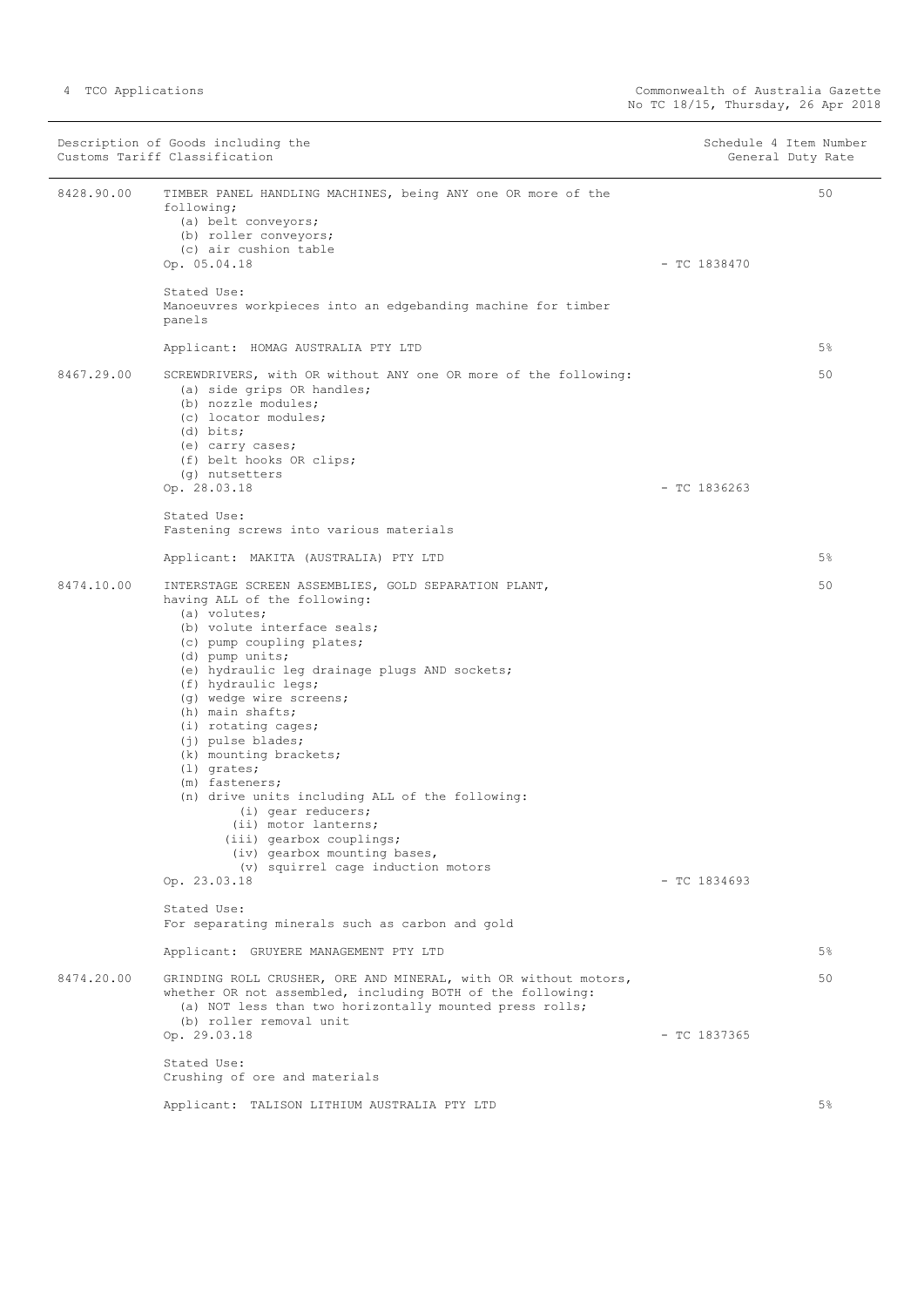|            | Description of Goods including the<br>Customs Tariff Classification                                                                                                                                                                                                                                                                                                                                                                                                                                                                                                                                                                      |                | Schedule 4 Item Number<br>General Duty Rate |
|------------|------------------------------------------------------------------------------------------------------------------------------------------------------------------------------------------------------------------------------------------------------------------------------------------------------------------------------------------------------------------------------------------------------------------------------------------------------------------------------------------------------------------------------------------------------------------------------------------------------------------------------------------|----------------|---------------------------------------------|
| 8428.90.00 | TIMBER PANEL HANDLING MACHINES, being ANY one OR more of the<br>following;<br>(a) belt conveyors;<br>(b) roller conveyors;<br>(c) air cushion table<br>Op. 05.04.18                                                                                                                                                                                                                                                                                                                                                                                                                                                                      | $-$ TC 1838470 | 50                                          |
|            | Stated Use:<br>Manoeuvres workpieces into an edgebanding machine for timber<br>panels                                                                                                                                                                                                                                                                                                                                                                                                                                                                                                                                                    |                |                                             |
|            | Applicant: HOMAG AUSTRALIA PTY LTD                                                                                                                                                                                                                                                                                                                                                                                                                                                                                                                                                                                                       |                | 5%                                          |
| 8467.29.00 | SCREWDRIVERS, with OR without ANY one OR more of the following:<br>(a) side grips OR handles;<br>(b) nozzle modules;<br>(c) locator modules;<br>$(d)$ bits;<br>(e) carry cases;<br>(f) belt hooks OR clips;<br>(g) nutsetters<br>Op. 28.03.18                                                                                                                                                                                                                                                                                                                                                                                            | $-$ TC 1836263 | 50                                          |
|            | Stated Use:                                                                                                                                                                                                                                                                                                                                                                                                                                                                                                                                                                                                                              |                |                                             |
|            | Fastening screws into various materials                                                                                                                                                                                                                                                                                                                                                                                                                                                                                                                                                                                                  |                |                                             |
|            | Applicant: MAKITA (AUSTRALIA) PTY LTD                                                                                                                                                                                                                                                                                                                                                                                                                                                                                                                                                                                                    |                | 5%                                          |
| 8474.10.00 | INTERSTAGE SCREEN ASSEMBLIES, GOLD SEPARATION PLANT,<br>having ALL of the following:<br>(a) volutes;<br>(b) volute interface seals;<br>(c) pump coupling plates;<br>(d) pump units;<br>(e) hydraulic leg drainage plugs AND sockets;<br>(f) hydraulic legs;<br>(g) wedge wire screens;<br>(h) main shafts;<br>(i) rotating cages;<br>(j) pulse blades;<br>(k) mounting brackets;<br>$(1)$ grates;<br>(m) fasteners;<br>(n) drive units including ALL of the following:<br>$(i)$ gear reducers;<br>(ii) motor lanterns;<br>(iii) gearbox couplings;<br>(iv) gearbox mounting bases,<br>(v) squirrel cage induction motors<br>Op. 23.03.18 | $-$ TC 1834693 | 50                                          |
|            | Stated Use:<br>For separating minerals such as carbon and gold                                                                                                                                                                                                                                                                                                                                                                                                                                                                                                                                                                           |                |                                             |
|            | Applicant: GRUYERE MANAGEMENT PTY LTD                                                                                                                                                                                                                                                                                                                                                                                                                                                                                                                                                                                                    |                | 5%                                          |
| 8474.20.00 | GRINDING ROLL CRUSHER, ORE AND MINERAL, with OR without motors,<br>whether OR not assembled, including BOTH of the following:<br>(a) NOT less than two horizontally mounted press rolls;<br>(b) roller removal unit<br>Op. 29.03.18                                                                                                                                                                                                                                                                                                                                                                                                      | $-$ TC 1837365 | 50                                          |
|            | Stated Use:<br>Crushing of ore and materials                                                                                                                                                                                                                                                                                                                                                                                                                                                                                                                                                                                             |                |                                             |
|            | Applicant: TALISON LITHIUM AUSTRALIA PTY LTD                                                                                                                                                                                                                                                                                                                                                                                                                                                                                                                                                                                             |                | $5\%$                                       |
|            |                                                                                                                                                                                                                                                                                                                                                                                                                                                                                                                                                                                                                                          |                |                                             |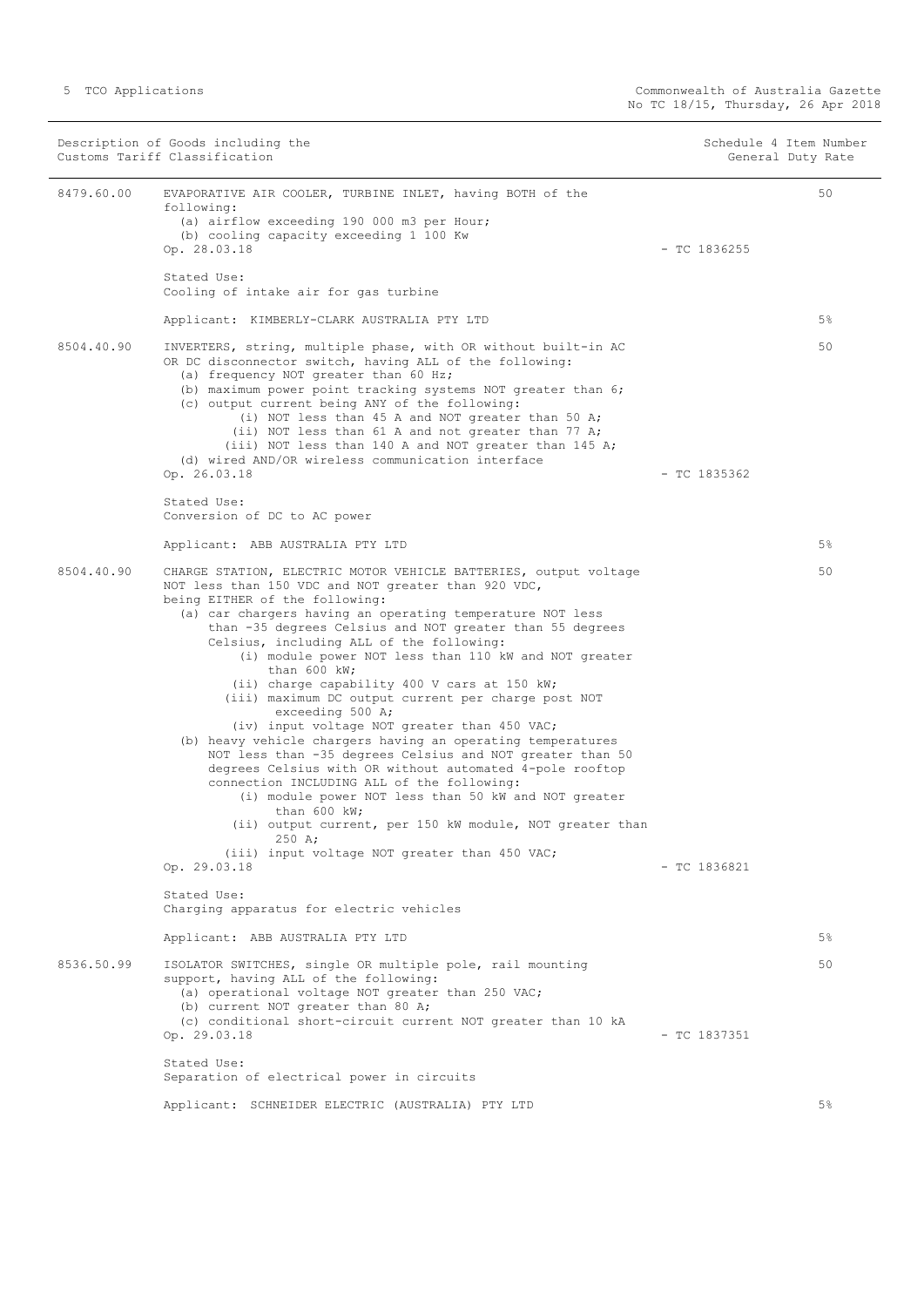Description of Goods including the Schedule 4 Item Number<br>
Customs Tariff Classification (Seneral Duty Rate Schedule 4 Item Number Customs Tariff Classification 8479.60.00 EVAPORATIVE AIR COOLER, TURBINE INLET, having BOTH of the following: (a) airflow exceeding 190 000 m3 per Hour; (b) cooling capacity exceeding 1 100 Kw Op. 28.03.18 - TC 1836255 Stated Use: Cooling of intake air for gas turbine Applicant: KIMBERLY-CLARK AUSTRALIA PTY LTD 50 5% 8504.40.90 INVERTERS, string, multiple phase, with OR without built-in AC OR DC disconnector switch, having ALL of the following: (a) frequency NOT greater than 60 Hz; (b) maximum power point tracking systems NOT greater than 6; (c) output current being ANY of the following: (i) NOT less than 45 A and NOT greater than 50 A; (ii) NOT less than 61 A and not greater than 77 A; (iii) NOT less than 140 A and NOT greater than 145 A; (d) wired AND/OR wireless communication interface Op. 26.03.18 - TC 1835362 Stated Use: Conversion of DC to AC power Applicant: ABB AUSTRALIA PTY LTD 50 5% 8504.40.90 CHARGE STATION, ELECTRIC MOTOR VEHICLE BATTERIES, output voltage NOT less than 150 VDC and NOT greater than 920 VDC, being EITHER of the following: (a) car chargers having an operating temperature NOT less than -35 degrees Celsius and NOT greater than 55 degrees Celsius, including ALL of the following: (i) module power NOT less than 110 kW and NOT greater than 600 kW; (ii) charge capability 400 V cars at 150 kW; (iii) maximum DC output current per charge post NOT exceeding 500 A; (iv) input voltage NOT greater than 450 VAC; (b) heavy vehicle chargers having an operating temperatures NOT less than -35 degrees Celsius and NOT greater than 50 degrees Celsius with OR without automated 4-pole rooftop connection INCLUDING ALL of the following: (i) module power NOT less than 50 kW and NOT greater than  $600$  kW; (ii) output current, per 150 kW module, NOT greater than 250 A; (iii) input voltage NOT greater than 450 VAC; Op. 29.03.18 - TC 1836821 Stated Use: Charging apparatus for electric vehicles Applicant: ABB AUSTRALIA PTY LTD 50 5% 8536.50.99 ISOLATOR SWITCHES, single OR multiple pole, rail mounting support, having ALL of the following: (a) operational voltage NOT greater than 250 VAC; (b) current NOT greater than 80 A; (c) conditional short-circuit current NOT greater than 10 kA Op. 29.03.18 - TC 1837351 Stated Use: Separation of electrical power in circuits Applicant: SCHNEIDER ELECTRIC (AUSTRALIA) PTY LTD  $50$ 5%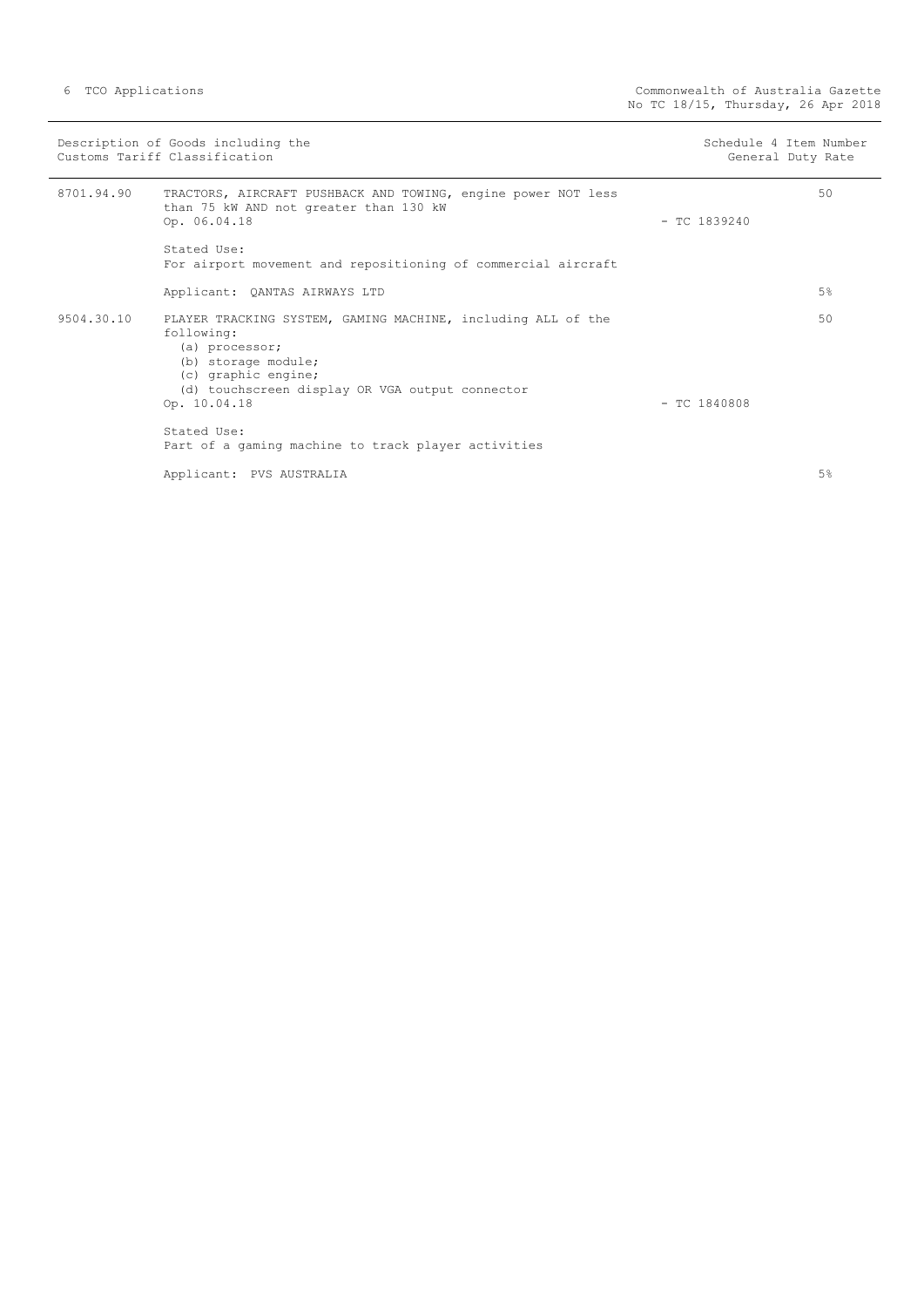|            | Description of Goods including the<br>Customs Tariff Classification                                                                                                                                           | Schedule 4 Item Number<br>General Duty Rate |
|------------|---------------------------------------------------------------------------------------------------------------------------------------------------------------------------------------------------------------|---------------------------------------------|
| 8701.94.90 | TRACTORS, AIRCRAFT PUSHBACK AND TOWING, engine power NOT less<br>than 75 kW AND not greater than 130 kW<br>Op. 06.04.18                                                                                       | 50<br>$-$ TC 1839240                        |
|            | Stated Use:<br>For airport movement and repositioning of commercial aircraft                                                                                                                                  |                                             |
|            | Applicant: QANTAS AIRWAYS LTD                                                                                                                                                                                 | 5%                                          |
| 9504.30.10 | PLAYER TRACKING SYSTEM, GAMING MACHINE, including ALL of the<br>following:<br>(a) processor;<br>(b) storage module;<br>(c) graphic engine;<br>(d) touchscreen display OR VGA output connector<br>Op. 10.04.18 | 50<br>$-$ TC 1840808                        |
|            | Stated Use:<br>Part of a gaming machine to track player activities                                                                                                                                            |                                             |
|            | Applicant: PVS AUSTRALIA                                                                                                                                                                                      | 5%                                          |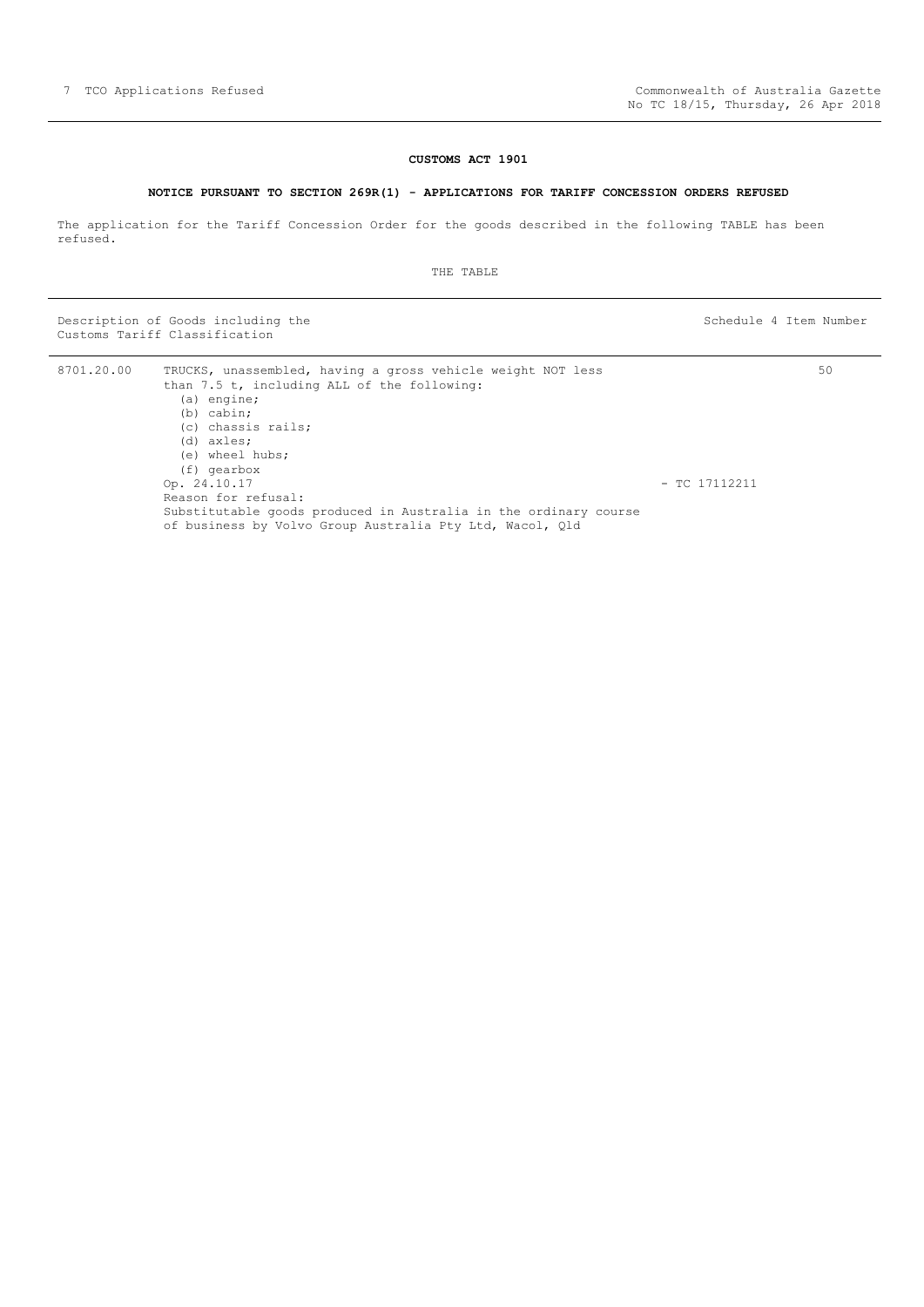#### **CUSTOMS ACT 1901**

#### **NOTICE PURSUANT TO SECTION 269R(1) - APPLICATIONS FOR TARIFF CONCESSION ORDERS REFUSED**

<span id="page-6-0"></span>The application for the Tariff Concession Order for the goods described in the following TABLE has been refused.

THE TABLE

Description of Goods including the Schedule 4 Item Number (Schedule 4 Item Number Customs Tariff Classification

| 8701.20.00 | TRUCKS, unassembled, having a gross vehicle weight NOT less<br>than 7.5 t, including ALL of the following:                   |                 | 50 |
|------------|------------------------------------------------------------------------------------------------------------------------------|-----------------|----|
|            | $(a)$ engine;                                                                                                                |                 |    |
|            | $(b)$ cabin:                                                                                                                 |                 |    |
|            | (c) chassis rails;                                                                                                           |                 |    |
|            | $(d)$ axles;                                                                                                                 |                 |    |
|            | (e) wheel hubs;                                                                                                              |                 |    |
|            | (f) gearbox                                                                                                                  |                 |    |
|            | Op. 24.10.17                                                                                                                 | $-$ TC 17112211 |    |
|            | Reason for refusal:                                                                                                          |                 |    |
|            | Substitutable goods produced in Australia in the ordinary course<br>of business by Volvo Group Australia Pty Ltd, Wacol, Old |                 |    |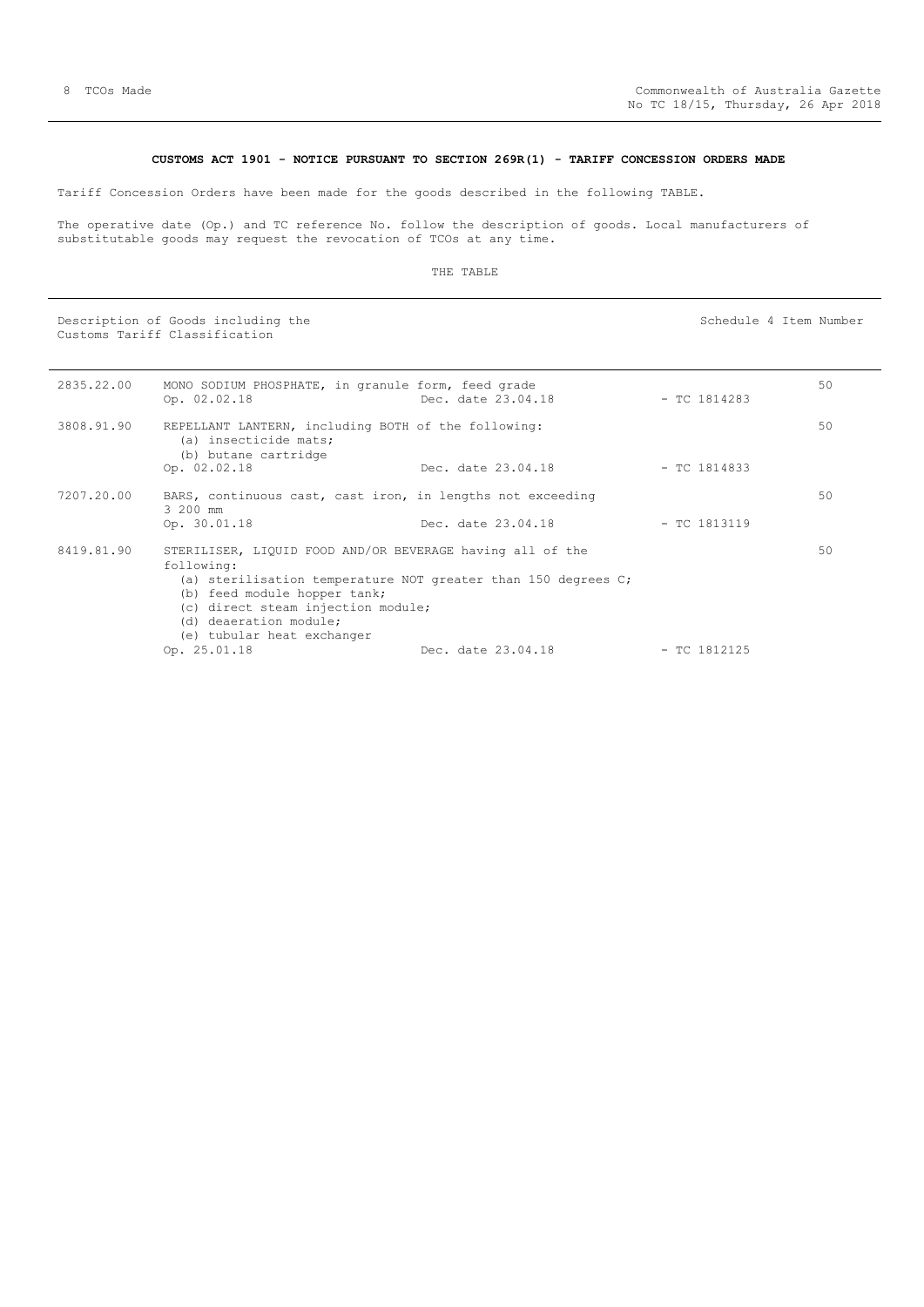#### **CUSTOMS ACT 1901 - NOTICE PURSUANT TO SECTION 269R(1) - TARIFF CONCESSION ORDERS MADE**

<span id="page-7-0"></span>Tariff Concession Orders have been made for the goods described in the following TABLE.

The operative date (Op.) and TC reference No. follow the description of goods. Local manufacturers of substitutable goods may request the revocation of TCOs at any time.

#### THE TABLE

Description of Goods including the Schedule 4 Item Number Schedule 4 Item Number Customs Tariff Classification

2835.22.00 MONO SODIUM PHOSPHATE, in granule form, feed grade Op. 02.02.18 Dec. date 23.04.18 - TC 1814283 50 3808.91.90 REPELLANT LANTERN, including BOTH of the following: (a) insecticide mats; (b) butane cartridge Op. 02.02.18 Dec. date 23.04.18 - TC 1814833 50 7207.20.00 BARS, continuous cast, cast iron, in lengths not exceeding 3 200 mm<br>Op. 30.01.18 Dec. date 23.04.18 - TC 1813119 50 8419.81.90 STERILISER, LIQUID FOOD AND/OR BEVERAGE having all of the following: (a) sterilisation temperature NOT greater than 150 degrees C; (b) feed module hopper tank; (c) direct steam injection module; (d) deaeration module; (e) tubular heat exchanger Op. 25.01.18 Dec. date 23.04.18 - TC 1812125 50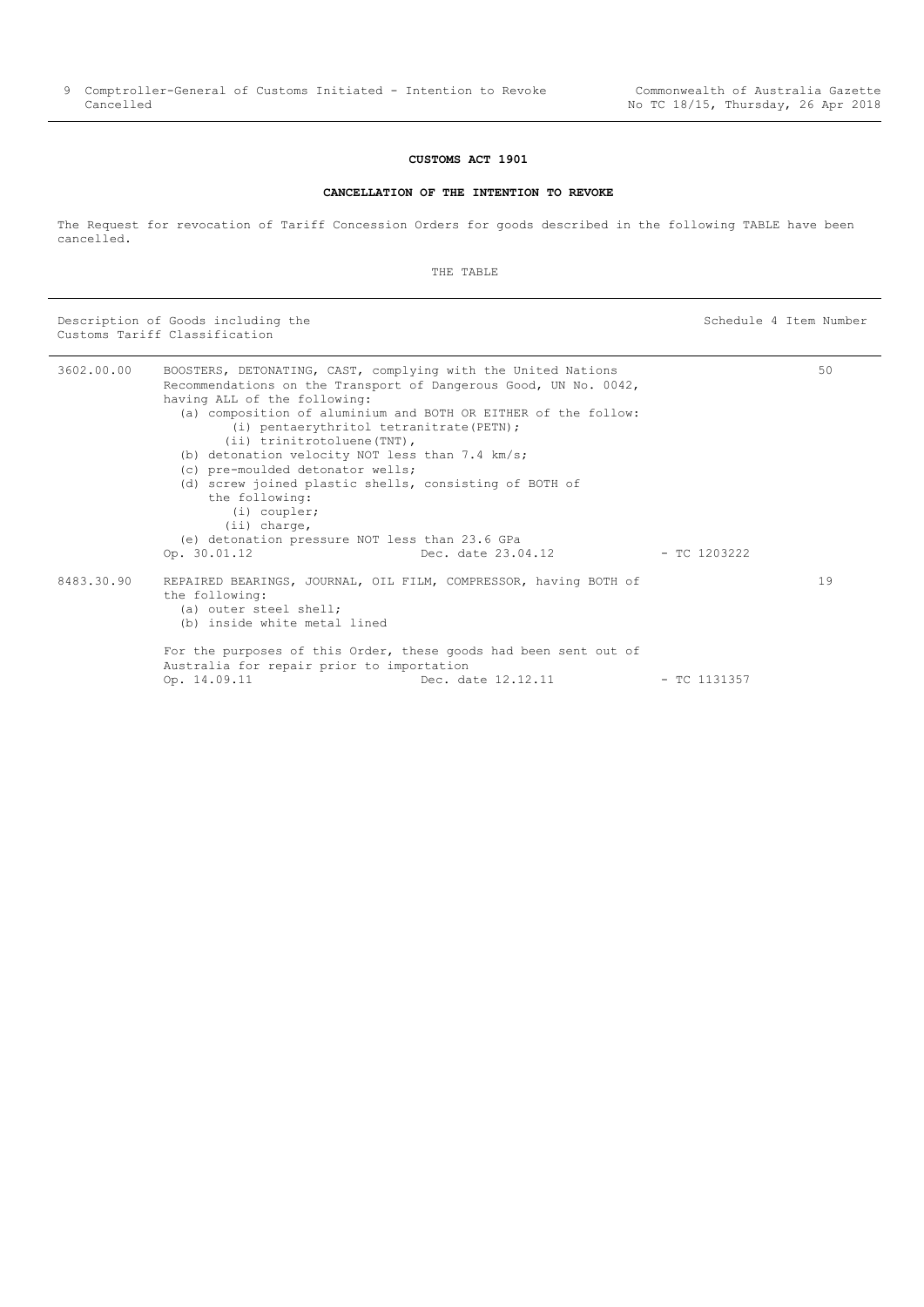#### **CUSTOMS ACT 1901**

#### **CANCELLATION OF THE INTENTION TO REVOKE**

<span id="page-8-0"></span>The Request for revocation of Tariff Concession Orders for goods described in the following TABLE have been cancelled.

THE TABLE

Description of Goods including the Schedule 4 Item Number Customs Tariff Classification

3602.00.00 BOOSTERS, DETONATING, CAST, complying with the United Nations Recommendations on the Transport of Dangerous Good, UN No. 0042, having ALL of the following: (a) composition of aluminium and BOTH OR EITHER of the follow: (i) pentaerythritol tetranitrate(PETN); (ii) trinitrotoluene(TNT), (b) detonation velocity NOT less than 7.4 km/s; (c) pre-moulded detonator wells; (d) screw joined plastic shells, consisting of BOTH of the following: (i) coupler; (ii) charge, (e) detonation pressure NOT less than 23.6 GPa Op. 30.01.12 Dec. date 23.04.12 - TC 1203222 50 8483.30.90 REPAIRED BEARINGS, JOURNAL, OIL FILM, COMPRESSOR, having BOTH of the following: (a) outer steel shell; (b) inside white metal lined For the purposes of this Order, these goods had been sent out of Australia for repair prior to importation<br>Op. 14.09.11 Dec. da Dec. date 12.12.11 - TC 1131357 19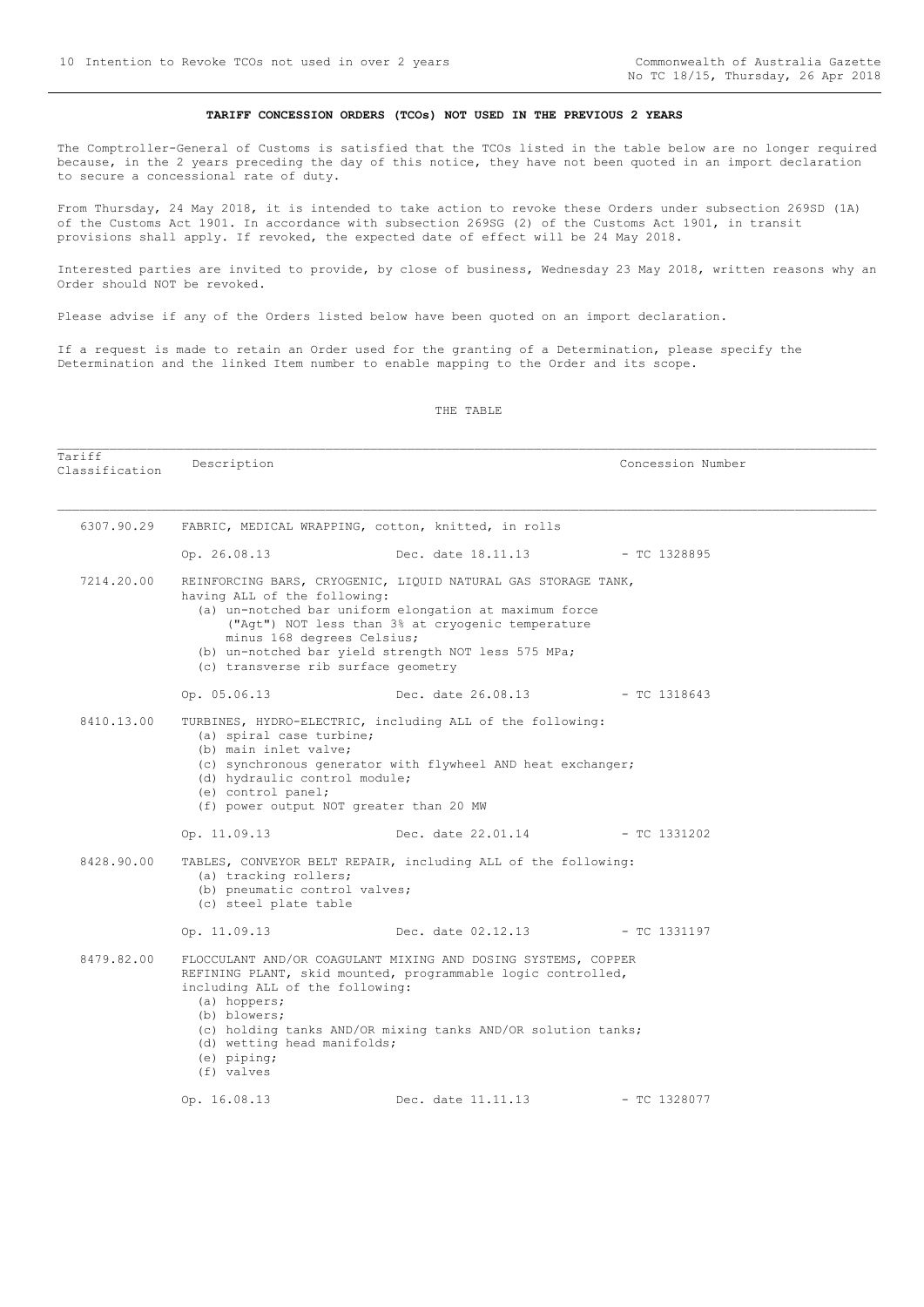#### **TARIFF CONCESSION ORDERS (TCOs) NOT USED IN THE PREVIOUS 2 YEARS**

<span id="page-9-0"></span>The Comptroller-General of Customs is satisfied that the TCOs listed in the table below are no longer required because, in the 2 years preceding the day of this notice, they have not been quoted in an import declaration to secure a concessional rate of duty.

From Thursday, 24 May 2018, it is intended to take action to revoke these Orders under subsection 269SD (1A) of the Customs Act 1901. In accordance with subsection 269SG (2) of the Customs Act 1901, in transit provisions shall apply. If revoked, the expected date of effect will be 24 May 2018.

Interested parties are invited to provide, by close of business, Wednesday 23 May 2018, written reasons why an Order should NOT be revoked.

Please advise if any of the Orders listed below have been quoted on an import declaration.

If a request is made to retain an Order used for the granting of a Determination, please specify the Determination and the linked Item number to enable mapping to the Order and its scope.

THE TABLE

| Tariff<br>Classification | Description                                                                                                                                         |                                                                                                                                                                                                                                     | Concession Number |
|--------------------------|-----------------------------------------------------------------------------------------------------------------------------------------------------|-------------------------------------------------------------------------------------------------------------------------------------------------------------------------------------------------------------------------------------|-------------------|
| 6307.90.29               |                                                                                                                                                     | FABRIC, MEDICAL WRAPPING, cotton, knitted, in rolls                                                                                                                                                                                 |                   |
|                          | Op. 26.08.13                                                                                                                                        | Dec. date 18.11.13 - TC 1328895                                                                                                                                                                                                     |                   |
| 7214.20.00               | having ALL of the following:<br>minus 168 degrees Celsius;<br>(c) transverse rib surface geometry                                                   | REINFORCING BARS, CRYOGENIC, LIQUID NATURAL GAS STORAGE TANK,<br>(a) un-notched bar uniform elongation at maximum force<br>("Agt") NOT less than 3% at cryogenic temperature<br>(b) un-notched bar yield strength NOT less 575 MPa; |                   |
|                          | Op. 05.06.13                                                                                                                                        | Dec. date 26.08.13 - TC 1318643                                                                                                                                                                                                     |                   |
| 8410.13.00               | (a) spiral case turbine;<br>(b) main inlet valve;<br>(d) hydraulic control module;<br>(e) control panel;<br>(f) power output NOT greater than 20 MW | TURBINES, HYDRO-ELECTRIC, including ALL of the following:<br>(c) synchronous generator with flywheel AND heat exchanger;                                                                                                            |                   |
|                          | Op. 11.09.13                                                                                                                                        | Dec. date 22.01.14                                                                                                                                                                                                                  | $-$ TC 1331202    |
| 8428.90.00               | (a) tracking rollers;<br>(b) pneumatic control valves;<br>(c) steel plate table                                                                     | TABLES, CONVEYOR BELT REPAIR, including ALL of the following:                                                                                                                                                                       |                   |
|                          | Op. 11.09.13                                                                                                                                        | Dec. date $02.12.13$ - TC 1331197                                                                                                                                                                                                   |                   |
| 8479.82.00               | including ALL of the following:<br>(a) hoppers;<br>(b) blowers;<br>(d) wetting head manifolds;<br>$(e)$ piping;<br>(f) valves                       | FLOCCULANT AND/OR COAGULANT MIXING AND DOSING SYSTEMS, COPPER<br>REFINING PLANT, skid mounted, programmable logic controlled,<br>(c) holding tanks AND/OR mixing tanks AND/OR solution tanks;                                       |                   |
|                          | Op. 16.08.13                                                                                                                                        | Dec. date 11.11.13                                                                                                                                                                                                                  | $-$ TC 1328077    |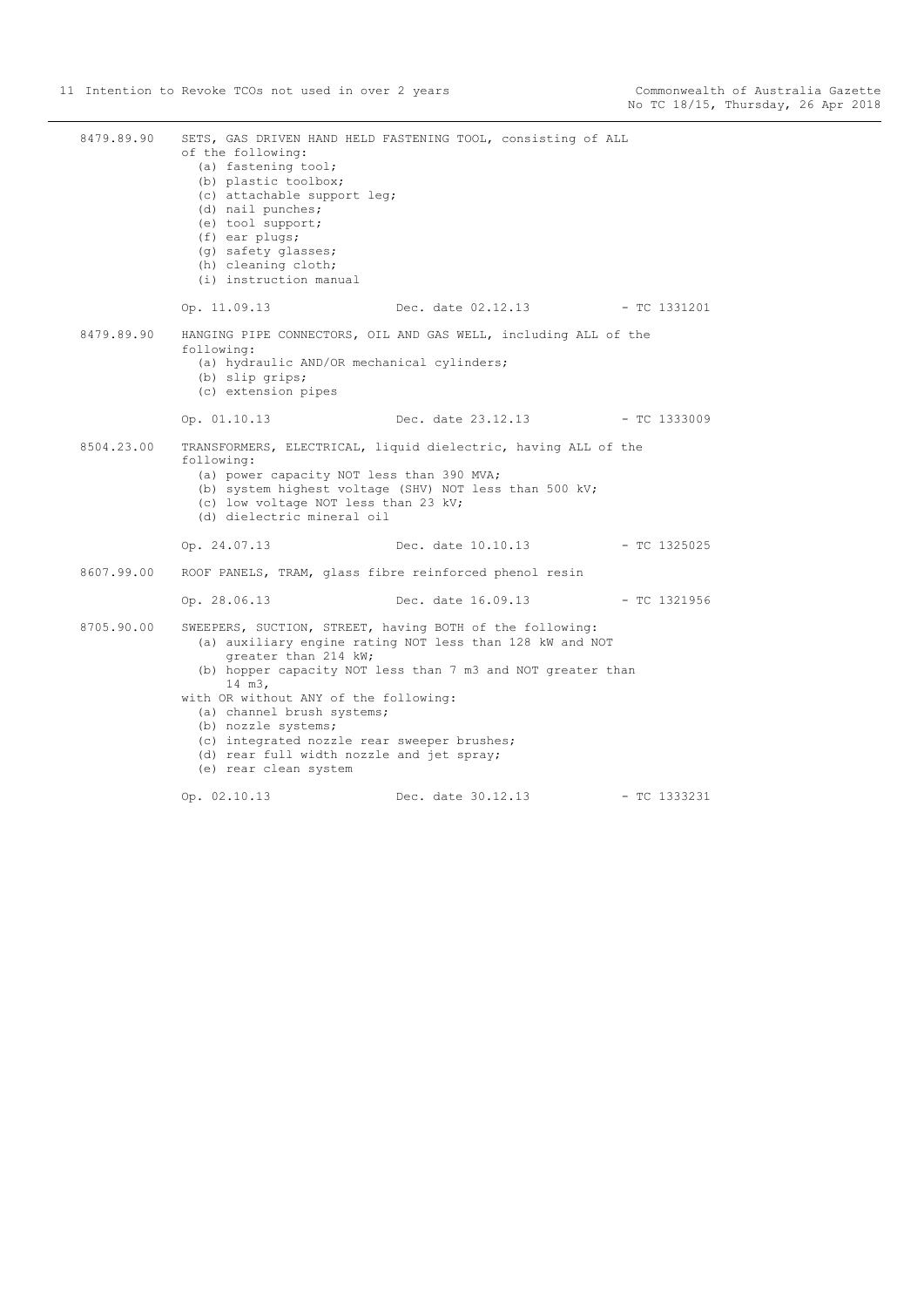| 8479.89.90 | of the following:<br>(a) fastening tool;<br>(b) plastic toolbox;<br>(c) attachable support leg;<br>(d) nail punches;<br>(e) tool support;<br>(f) ear plugs;<br>(q) safety glasses;<br>(h) cleaning cloth;<br>(i) instruction manual               | SETS, GAS DRIVEN HAND HELD FASTENING TOOL, consisting of ALL                                                                                                                        |                |
|------------|---------------------------------------------------------------------------------------------------------------------------------------------------------------------------------------------------------------------------------------------------|-------------------------------------------------------------------------------------------------------------------------------------------------------------------------------------|----------------|
|            | Op. 11.09.13                                                                                                                                                                                                                                      | Dec. date 02.12.13 - TC 1331201                                                                                                                                                     |                |
| 8479.89.90 | following:<br>(a) hydraulic AND/OR mechanical cylinders;<br>(b) slip grips;<br>(c) extension pipes                                                                                                                                                | HANGING PIPE CONNECTORS, OIL AND GAS WELL, including ALL of the                                                                                                                     |                |
|            | Op. 01.10.13                                                                                                                                                                                                                                      | Dec. date 23.12.13 - TC 1333009                                                                                                                                                     |                |
| 8504.23.00 | following:<br>(a) power capacity NOT less than 390 MVA;<br>(c) low voltage NOT less than 23 kV;<br>(d) dielectric mineral oil                                                                                                                     | TRANSFORMERS, ELECTRICAL, liquid dielectric, having ALL of the<br>(b) system highest voltage (SHV) NOT less than 500 kV;                                                            |                |
|            | Op. 24.07.13                                                                                                                                                                                                                                      | Dec. date 10.10.13                                                                                                                                                                  | - TC 1325025   |
| 8607.99.00 |                                                                                                                                                                                                                                                   | ROOF PANELS, TRAM, glass fibre reinforced phenol resin                                                                                                                              |                |
|            | Op. 28.06.13                                                                                                                                                                                                                                      | Dec. date 16.09.13 - TC 1321956                                                                                                                                                     |                |
| 8705.90.00 | greater than 214 kW;<br>14 m3,<br>with OR without ANY of the following:<br>(a) channel brush systems;<br>(b) nozzle systems;<br>(c) integrated nozzle rear sweeper brushes;<br>(d) rear full width nozzle and jet spray;<br>(e) rear clean system | SWEEPERS, SUCTION, STREET, having BOTH of the following:<br>(a) auxiliary engine rating NOT less than 128 kW and NOT<br>(b) hopper capacity NOT less than 7 m3 and NOT greater than |                |
|            | Op. 02.10.13                                                                                                                                                                                                                                      | Dec. date 30.12.13                                                                                                                                                                  | $-$ TC 1333231 |
|            |                                                                                                                                                                                                                                                   |                                                                                                                                                                                     |                |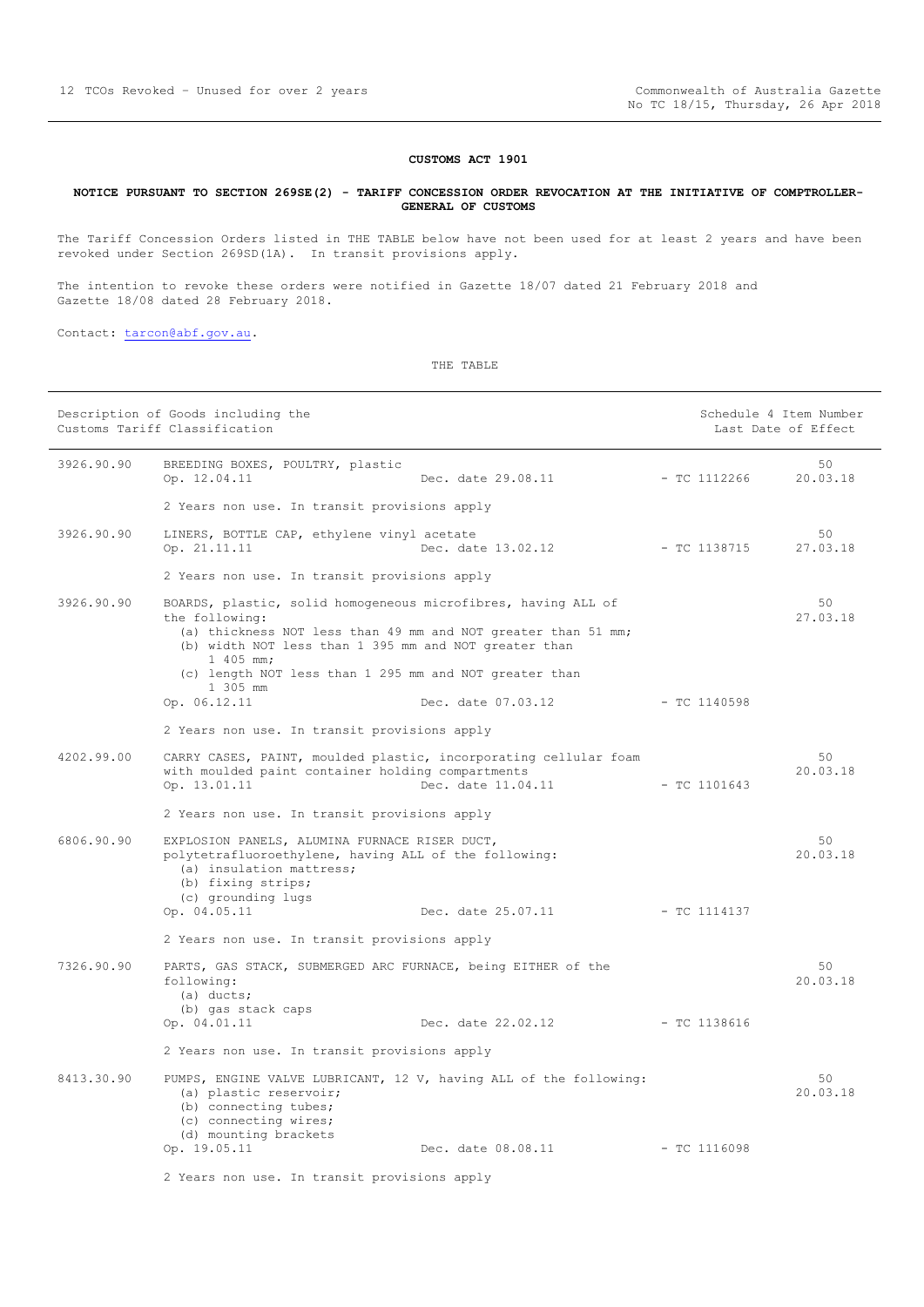#### **CUSTOMS ACT 1901**

#### <span id="page-11-0"></span>**NOTICE PURSUANT TO SECTION 269SE(2) - TARIFF CONCESSION ORDER REVOCATION AT THE INITIATIVE OF COMPTROLLER-GENERAL OF CUSTOMS**

The Tariff Concession Orders listed in THE TABLE below have not been used for at least 2 years and have been revoked under Section 269SD(1A). In transit provisions apply.

The intention to revoke these orders were notified in Gazette 18/07 dated 21 February 2018 and Gazette 18/08 dated 28 February 2018.

Contact: [tarcon@abf.gov.au.](mailto:tarcon@abf.gov.au)

THE TABLE

|            | Description of Goods including the<br>Customs Tariff Classification                                                                                                                                                       |                                 | Schedule 4 Item Number<br>Last Date of Effect |                |
|------------|---------------------------------------------------------------------------------------------------------------------------------------------------------------------------------------------------------------------------|---------------------------------|-----------------------------------------------|----------------|
| 3926.90.90 | BREEDING BOXES, POULTRY, plastic<br>Op. 12.04.11                                                                                                                                                                          | Dec. date 29.08.11              | $-$ TC 1112266                                | 50<br>20.03.18 |
|            | 2 Years non use. In transit provisions apply                                                                                                                                                                              |                                 |                                               |                |
| 3926.90.90 | LINERS, BOTTLE CAP, ethylene vinyl acetate<br>Op. 21.11.11                                                                                                                                                                | Dec. date 13.02.12              | - TC 1138715                                  | 50<br>27.03.18 |
|            | 2 Years non use. In transit provisions apply                                                                                                                                                                              |                                 |                                               |                |
| 3926.90.90 | BOARDS, plastic, solid homogeneous microfibres, having ALL of<br>the following:<br>(a) thickness NOT less than 49 mm and NOT greater than 51 mm;<br>(b) width NOT less than 1 395 mm and NOT greater than<br>$1\,405$ mm; |                                 |                                               | 50<br>27.03.18 |
|            | (c) length NOT less than 1 295 mm and NOT greater than<br>1 305 mm                                                                                                                                                        |                                 |                                               |                |
|            | Op. 06.12.11                                                                                                                                                                                                              | Dec. date 07.03.12              | $-$ TC 1140598                                |                |
|            | 2 Years non use. In transit provisions apply                                                                                                                                                                              |                                 |                                               |                |
| 4202.99.00 | CARRY CASES, PAINT, moulded plastic, incorporating cellular foam<br>with moulded paint container holding compartments<br>Op. 13.01.11                                                                                     | Dec. date 11.04.11              | $-$ TC 1101643                                | 50<br>20.03.18 |
|            | 2 Years non use. In transit provisions apply                                                                                                                                                                              |                                 |                                               |                |
| 6806.90.90 | EXPLOSION PANELS, ALUMINA FURNACE RISER DUCT,<br>polytetrafluoroethylene, having ALL of the following:<br>(a) insulation mattress;<br>(b) fixing strips;<br>(c) grounding lugs<br>Op. 04.05.11                            | Dec. date 25.07.11              | - TC 1114137                                  | 50<br>20.03.18 |
|            | 2 Years non use. In transit provisions apply                                                                                                                                                                              |                                 |                                               |                |
|            |                                                                                                                                                                                                                           |                                 |                                               |                |
| 7326.90.90 | PARTS, GAS STACK, SUBMERGED ARC FURNACE, being EITHER of the<br>following:<br>(a) ducts;<br>(b) gas stack caps                                                                                                            |                                 |                                               | 50<br>20.03.18 |
|            | Op. 04.01.11                                                                                                                                                                                                              | Dec. date 22.02.12 - TC 1138616 |                                               |                |
|            | 2 Years non use. In transit provisions apply                                                                                                                                                                              |                                 |                                               |                |
| 8413.30.90 | PUMPS, ENGINE VALVE LUBRICANT, 12 V, having ALL of the following:<br>(a) plastic reservoir;<br>(b) connecting tubes;<br>(c) connecting wires;<br>(d) mounting brackets                                                    |                                 |                                               | 50<br>20.03.18 |
|            | Op. 19.05.11                                                                                                                                                                                                              | Dec. date 08.08.11              | $-$ TC 1116098                                |                |
|            | 2 Years non use. In transit provisions apply                                                                                                                                                                              |                                 |                                               |                |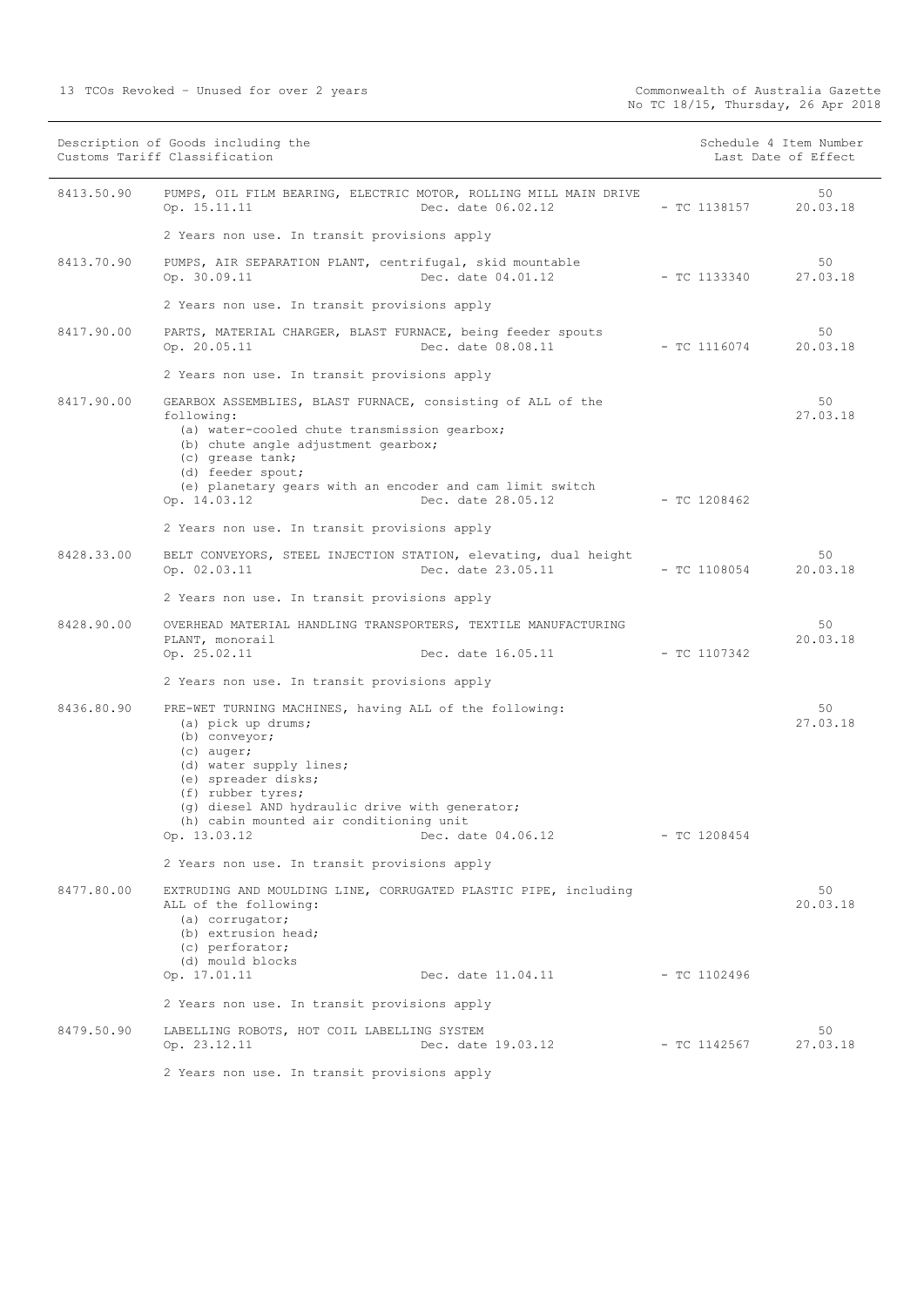| Description of Goods including the<br>Customs Tariff Classification |                                                                                                                                                                                                                                                                                                                         |                | Schedule 4 Item Number<br>Last Date of Effect |
|---------------------------------------------------------------------|-------------------------------------------------------------------------------------------------------------------------------------------------------------------------------------------------------------------------------------------------------------------------------------------------------------------------|----------------|-----------------------------------------------|
| 8413.50.90                                                          | PUMPS, OIL FILM BEARING, ELECTRIC MOTOR, ROLLING MILL MAIN DRIVE<br>Dec. date 06.02.12<br>Op. 15.11.11                                                                                                                                                                                                                  | $-$ TC 1138157 | 50<br>20.03.18                                |
|                                                                     | 2 Years non use. In transit provisions apply                                                                                                                                                                                                                                                                            |                |                                               |
| 8413.70.90                                                          | PUMPS, AIR SEPARATION PLANT, centrifugal, skid mountable<br>Dec. date 04.01.12<br>Op. 30.09.11                                                                                                                                                                                                                          | $-$ TC 1133340 | 50<br>27.03.18                                |
|                                                                     | 2 Years non use. In transit provisions apply                                                                                                                                                                                                                                                                            |                |                                               |
| 8417.90.00                                                          | PARTS, MATERIAL CHARGER, BLAST FURNACE, being feeder spouts<br>Dec. date 08.08.11<br>Op. 20.05.11                                                                                                                                                                                                                       | - TC 1116074   | 50<br>20.03.18                                |
|                                                                     | 2 Years non use. In transit provisions apply                                                                                                                                                                                                                                                                            |                |                                               |
| 8417.90.00                                                          | GEARBOX ASSEMBLIES, BLAST FURNACE, consisting of ALL of the<br>following:<br>(a) water-cooled chute transmission gearbox;<br>(b) chute angle adjustment gearbox;<br>(c) grease tank;<br>(d) feeder spout;<br>(e) planetary gears with an encoder and cam limit switch<br>Op. 14.03.12<br>Dec. date 28.05.12             | - TC 1208462   | 50<br>27.03.18                                |
|                                                                     | 2 Years non use. In transit provisions apply                                                                                                                                                                                                                                                                            |                |                                               |
| 8428.33.00                                                          | BELT CONVEYORS, STEEL INJECTION STATION, elevating, dual height<br>Dec. date 23.05.11<br>Op. 02.03.11                                                                                                                                                                                                                   | $-$ TC 1108054 | 50<br>20.03.18                                |
|                                                                     | 2 Years non use. In transit provisions apply                                                                                                                                                                                                                                                                            |                |                                               |
| 8428.90.00                                                          | OVERHEAD MATERIAL HANDLING TRANSPORTERS, TEXTILE MANUFACTURING<br>PLANT, monorail<br>Op. 25.02.11<br>Dec. date 16.05.11                                                                                                                                                                                                 | $-$ TC 1107342 | 50<br>20.03.18                                |
|                                                                     |                                                                                                                                                                                                                                                                                                                         |                |                                               |
|                                                                     | 2 Years non use. In transit provisions apply                                                                                                                                                                                                                                                                            |                |                                               |
| 8436.80.90                                                          | PRE-WET TURNING MACHINES, having ALL of the following:<br>(a) pick up drums;<br>(b) conveyor;<br>$(c)$ auger;<br>(d) water supply lines;<br>(e) spreader disks;<br>(f) rubber tyres;<br>(q) diesel AND hydraulic drive with generator;<br>(h) cabin mounted air conditioning unit<br>Op. 13.03.12<br>Dec. date 04.06.12 | $-$ TC 1208454 | 50<br>27.03.18                                |
|                                                                     | 2 Years non use. In transit provisions apply                                                                                                                                                                                                                                                                            |                |                                               |
| 8477.80.00                                                          | EXTRUDING AND MOULDING LINE, CORRUGATED PLASTIC PIPE, including<br>ALL of the following:<br>(a) corrugator;<br>(b) extrusion head;<br>(c) perforator;<br>(d) mould blocks                                                                                                                                               |                | 50<br>20.03.18                                |
|                                                                     | Op. 17.01.11<br>Dec. date 11.04.11                                                                                                                                                                                                                                                                                      | - TC 1102496   |                                               |
|                                                                     | 2 Years non use. In transit provisions apply                                                                                                                                                                                                                                                                            |                |                                               |
| 8479.50.90                                                          | LABELLING ROBOTS, HOT COIL LABELLING SYSTEM<br>Op. 23.12.11<br>Dec. date 19.03.12                                                                                                                                                                                                                                       | - TC 1142567   | 50<br>27.03.18                                |
|                                                                     | 2 Years non use. In transit provisions apply                                                                                                                                                                                                                                                                            |                |                                               |